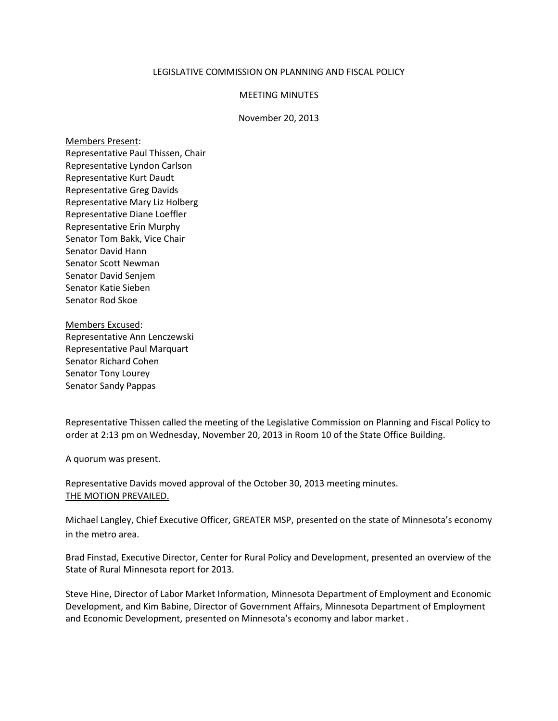## LEGISLATIVE COMMISSION ON PLANNING AND FISCAL POLICY

## MEETING MINUTES

## November 20, 2013

Members Present: Representative Paul Thissen, Chair Representative Lyndon Carlson Representative Kurt Daudt Representative Greg Davids Representative Mary Liz Holberg Representative Diane Loeffler Representative Erin Murphy Senator Tom Bakk, Vice Chair Senator David Hann Senator Scott Newman Senator David Senjem Senator Katie Sieben Senator Rod Skoe

Members Excused: Representative Ann Lenczewski Representative Paul Marquart Senator Richard Cohen Senator Tony Lourey Senator Sandy Pappas

Representative Thissen called the meeting of the Legislative Commission on Planning and Fiscal Policy to order at 2:13 pm on Wednesday, November 20, 2013 in Room 10 of the State Office Building.

A quorum was present.

Representative Davids moved approval of the October 30, 2013 meeting minutes. THE MOTION PREVAILED.

Michael Langley, Chief Executive Officer, GREATER MSP, presented on the state of Minnesota's economy in the metro area.

Brad Finstad, Executive Director, Center for Rural Policy and Development, presented an overview of the State of Rural Minnesota report for 2013.

Steve Hine, Director of Labor Market Information, Minnesota Department of Employment and Economic Development, and Kim Babine, Director of Government Affairs, Minnesota Department of Employment and Economic Development, presented on Minnesota's economy and labor market .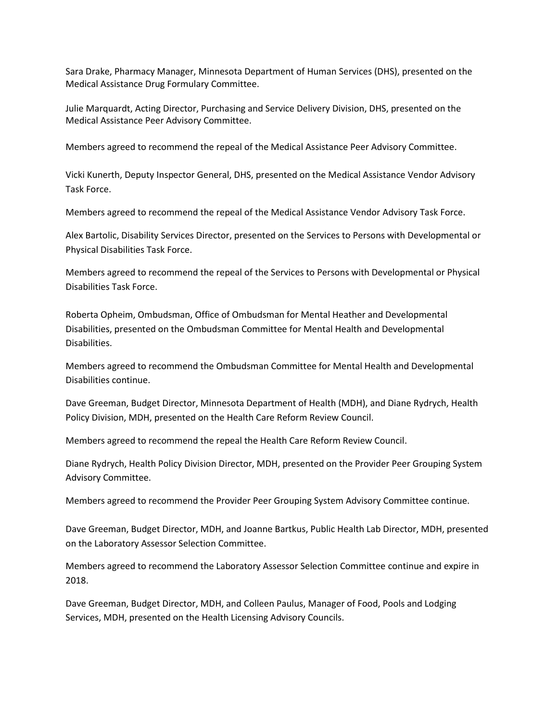Sara Drake, Pharmacy Manager, Minnesota Department of Human Services (DHS), presented on the Medical Assistance Drug Formulary Committee.

Julie Marquardt, Acting Director, Purchasing and Service Delivery Division, DHS, presented on the Medical Assistance Peer Advisory Committee.

Members agreed to recommend the repeal of the Medical Assistance Peer Advisory Committee.

Vicki Kunerth, Deputy Inspector General, DHS, presented on the Medical Assistance Vendor Advisory Task Force.

Members agreed to recommend the repeal of the Medical Assistance Vendor Advisory Task Force.

Alex Bartolic, Disability Services Director, presented on the Services to Persons with Developmental or Physical Disabilities Task Force.

Members agreed to recommend the repeal of the Services to Persons with Developmental or Physical Disabilities Task Force.

Roberta Opheim, Ombudsman, Office of Ombudsman for Mental Heather and Developmental Disabilities, presented on the Ombudsman Committee for Mental Health and Developmental Disabilities.

Members agreed to recommend the Ombudsman Committee for Mental Health and Developmental Disabilities continue.

Dave Greeman, Budget Director, Minnesota Department of Health (MDH), and Diane Rydrych, Health Policy Division, MDH, presented on the Health Care Reform Review Council.

Members agreed to recommend the repeal the Health Care Reform Review Council.

Diane Rydrych, Health Policy Division Director, MDH, presented on the Provider Peer Grouping System Advisory Committee.

Members agreed to recommend the Provider Peer Grouping System Advisory Committee continue.

Dave Greeman, Budget Director, MDH, and Joanne Bartkus, Public Health Lab Director, MDH, presented on the Laboratory Assessor Selection Committee.

Members agreed to recommend the Laboratory Assessor Selection Committee continue and expire in 2018.

Dave Greeman, Budget Director, MDH, and Colleen Paulus, Manager of Food, Pools and Lodging Services, MDH, presented on the Health Licensing Advisory Councils.